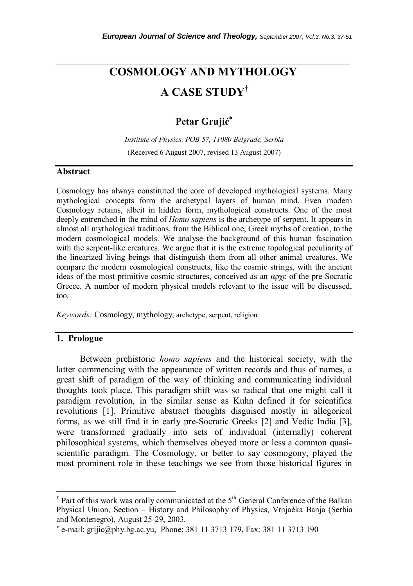# **COSMOLOGY AND MYTHOLOGY A CASE STUDY†**

*\_\_\_\_\_\_\_\_\_\_\_\_\_\_\_\_\_\_\_\_\_\_\_\_\_\_\_\_\_\_\_\_\_\_\_\_\_\_\_\_\_\_\_\_\_\_\_\_\_\_\_\_\_\_\_\_\_\_\_\_\_\_\_\_\_\_\_\_\_\_\_* 

# **Petar Grujić** ∗

*Institute of Physics, POB 57, 11080 Belgrade, Serbia*  (Received 6 August 2007, revised 13 August 2007)

#### **Abstract**

Cosmology has always constituted the core of developed mythological systems. Many mythological concepts form the archetypal layers of human mind. Even modern Cosmology retains, albeit in hidden form, mythological constructs. One of the most deeply entrenched in the mind of *Homo sapiens* is the archetype of serpent. It appears in almost all mythological traditions, from the Biblical one, Greek myths of creation, to the modern cosmological models. We analyse the background of this human fascination with the serpent-like creatures. We argue that it is the extreme topological peculiarity of the linearized living beings that distinguish them from all other animal creatures. We compare the modern cosmological constructs, like the cosmic strings, with the ancient ideas of the most primitive cosmic structures, conceived as an αρχε of the pre-Socratic Greece. A number of modern physical models relevant to the issue will be discussed, too.

*Keywords:* Cosmology, mythology, archetype, serpent, religion

#### **1. Prologue**

Between prehistoric *homo sapiens* and the historical society, with the latter commencing with the appearance of written records and thus of names, a great shift of paradigm of the way of thinking and communicating individual thoughts took place. This paradigm shift was so radical that one might call it paradigm revolution, in the similar sense as Kuhn defined it for scientifica revolutions [1]. Primitive abstract thoughts disguised mostly in allegorical forms, as we still find it in early pre-Socratic Greeks [2] and Vedic India [3], were transformed gradually into sets of individual (internally) coherent philosophical systems, which themselves obeyed more or less a common quasiscientific paradigm. The Cosmology, or better to say cosmogony, played the most prominent role in these teachings we see from those historical figures in

<sup>&</sup>lt;sup>†</sup> Part of this work was orally communicated at the 5<sup>th</sup> General Conference of the Balkan Physical Union, Section – History and Philosophy of Physics, Vrnjaèka Banja (Serbia and Montenegro), August 25-29, 2003.

<sup>∗</sup> e-mail: grijic@phy.bg.ac.yu, Phone: 381 11 3713 179, Fax: 381 11 3713 190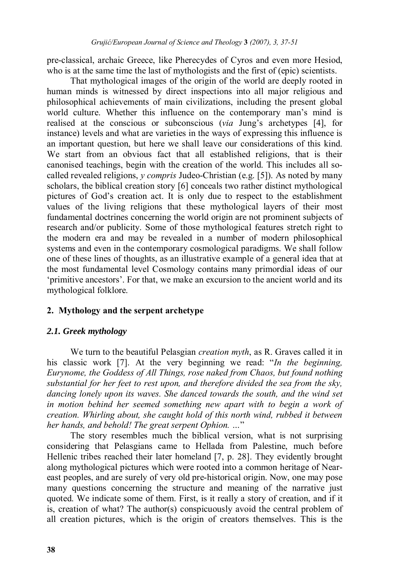pre-classical, archaic Greece, like Pherecydes of Cyros and even more Hesiod, who is at the same time the last of mythologists and the first of (epic) scientists.

That mythological images of the origin of the world are deeply rooted in human minds is witnessed by direct inspections into all major religious and philosophical achievements of main civilizations, including the present global world culture. Whether this influence on the contemporary man's mind is realised at the conscious or subconscious (*via* Jung's archetypes [4], for instance) levels and what are varieties in the ways of expressing this influence is an important question, but here we shall leave our considerations of this kind. We start from an obvious fact that all established religions, that is their canonised teachings, begin with the creation of the world. This includes all socalled revealed religions, *y compris* Judeo-Christian (e.g. [5]). As noted by many scholars, the biblical creation story [6] conceals two rather distinct mythological pictures of God's creation act. It is only due to respect to the establishment values of the living religions that these mythological layers of their most fundamental doctrines concerning the world origin are not prominent subjects of research and/or publicity. Some of those mythological features stretch right to the modern era and may be revealed in a number of modern philosophical systems and even in the contemporary cosmological paradigms. We shall follow one of these lines of thoughts, as an illustrative example of a general idea that at the most fundamental level Cosmology contains many primordial ideas of our 'primitive ancestors'. For that, we make an excursion to the ancient world and its mythological folklore.

## **2. Mythology and the serpent archetype**

### *2.1. Greek mythology*

 We turn to the beautiful Pelasgian *creation myth*, as R. Graves called it in his classic work [7]. At the very beginning we read: "*In the beginning, Eurynome, the Goddess of All Things, rose naked from Chaos, but found nothing substantial for her feet to rest upon, and therefore divided the sea from the sky, dancing lonely upon its waves. She danced towards the south, and the wind set in motion behind her seemed something new apart with to begin a work of creation. Whirling about, she caught hold of this north wind, rubbed it between her hands, and behold! The great serpent Ophion. …*"

 The story resembles much the biblical version, what is not surprising considering that Pelasgians came to Hellada from Palestine, much before Hellenic tribes reached their later homeland [7, p. 28]. They evidently brought along mythological pictures which were rooted into a common heritage of Neareast peoples, and are surely of very old pre-historical origin. Now, one may pose many questions concerning the structure and meaning of the narrative just quoted. We indicate some of them. First, is it really a story of creation, and if it is, creation of what? The author(s) conspicuously avoid the central problem of all creation pictures, which is the origin of creators themselves. This is the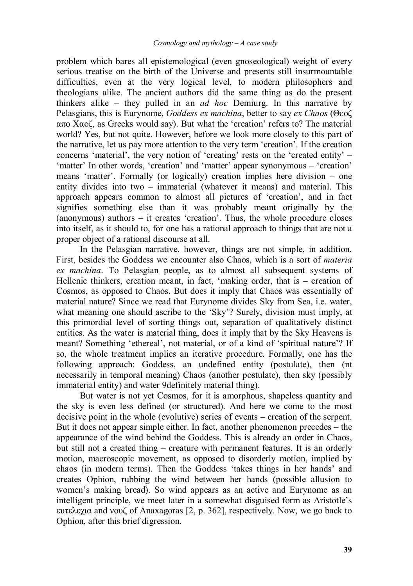problem which bares all epistemological (even gnoseological) weight of every serious treatise on the birth of the Universe and presents still insurmountable difficulties, even at the very logical level, to modern philosophers and theologians alike. The ancient authors did the same thing as do the present thinkers alike – they pulled in an *ad hoc* Demiurg. In this narrative by Pelasgians, this is Eurynome, *Goddess ex machina*, better to say *ex Chaos* (Θεοζ απο Χαοζ, as Greeks would say). But what the 'creation' refers to? The material world? Yes, but not quite. However, before we look more closely to this part of the narrative, let us pay more attention to the very term 'creation'. If the creation concerns 'material', the very notion of 'creating' rests on the 'created entity' – 'matter' In other words, 'creation' and 'matter' appear synonymous – 'creation' means 'matter'. Formally (or logically) creation implies here division – one entity divides into two – immaterial (whatever it means) and material. This approach appears common to almost all pictures of 'creation', and in fact signifies something else than it was probably meant originally by the (anonymous) authors – it creates 'creation'. Thus, the whole procedure closes into itself, as it should to, for one has a rational approach to things that are not a proper object of a rational discourse at all.

In the Pelasgian narrative, however, things are not simple, in addition. First, besides the Goddess we encounter also Chaos, which is a sort of *materia ex machina*. To Pelasgian people, as to almost all subsequent systems of Hellenic thinkers, creation meant, in fact, 'making order, that is – creation of Cosmos, as opposed to Chaos. But does it imply that Chaos was essentially of material nature? Since we read that Eurynome divides Sky from Sea, i.e. water, what meaning one should ascribe to the 'Sky'? Surely, division must imply, at this primordial level of sorting things out, separation of qualitatively distinct entities. As the water is material thing, does it imply that by the Sky Heavens is meant? Something 'ethereal', not material, or of a kind of 'spiritual nature'? If so, the whole treatment implies an iterative procedure. Formally, one has the following approach: Goddess, an undefined entity (postulate), then (nt necessarily in temporal meaning) Chaos (another postulate), then sky (possibly immaterial entity) and water 9definitely material thing).

But water is not yet Cosmos, for it is amorphous, shapeless quantity and the sky is even less defined (or structured). And here we come to the most decisive point in the whole (evolutive) series of events – creation of the serpent. But it does not appear simple either. In fact, another phenomenon precedes – the appearance of the wind behind the Goddess. This is already an order in Chaos, but still not a created thing – creature with permanent features. It is an orderly motion, macroscopic movement, as opposed to disorderly motion, implied by chaos (in modern terms). Then the Goddess 'takes things in her hands' and creates Ophion, rubbing the wind between her hands (possible allusion to women's making bread). So wind appears as an active and Eurynome as an intelligent principle, we meet later in a somewhat disguised form as Aristotle's ευτελεχια and νουζ of Anaxagoras [2, p. 362], respectively. Now, we go back to Ophion, after this brief digression.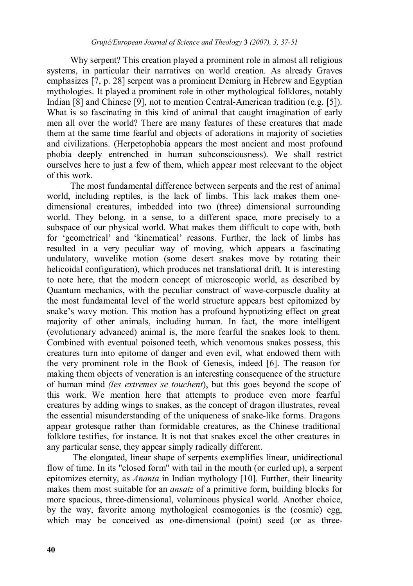Why serpent? This creation played a prominent role in almost all religious systems, in particular their narratives on world creation. As already Graves emphasizes [7, p. 28] serpent was a prominent Demiurg in Hebrew and Egyptian mythologies. It played a prominent role in other mythological folklores, notably Indian [8] and Chinese [9], not to mention Central-American tradition (e.g. [5]). What is so fascinating in this kind of animal that caught imagination of early men all over the world? There are many features of these creatures that made them at the same time fearful and objects of adorations in majority of societies and civilizations. (Herpetophobia appears the most ancient and most profound phobia deeply entrenched in human subconsciousness). We shall restrict ourselves here to just a few of them, which appear most relecvant to the object of this work.

The most fundamental difference between serpents and the rest of animal world, including reptiles, is the lack of limbs. This lack makes them onedimensional creatures, imbedded into two (three) dimensional surrounding world. They belong, in a sense, to a different space, more precisely to a subspace of our physical world. What makes them difficult to cope with, both for 'geometrical' and 'kinematical' reasons. Further, the lack of limbs has resulted in a very peculiar way of moving, which appears a fascinating undulatory, wavelike motion (some desert snakes move by rotating their helicoidal configuration), which produces net translational drift. It is interesting to note here, that the modern concept of microscopic world, as described by Quantum mechanics, with the peculiar construct of wave-corpuscle duality at the most fundamental level of the world structure appears best epitomized by snake's wavy motion. This motion has a profound hypnotizing effect on great majority of other animals, including human. In fact, the more intelligent (evolutionary advanced) animal is, the more fearful the snakes look to them. Combined with eventual poisoned teeth, which venomous snakes possess, this creatures turn into epitome of danger and even evil, what endowed them with the very prominent role in the Book of Genesis, indeed [6]. The reason for making them objects of veneration is an interesting consequence of the structure of human mind *(les extremes se touchent*), but this goes beyond the scope of this work. We mention here that attempts to produce even more fearful creatures by adding wings to snakes, as the concept of dragon illustrates, reveal the essential misunderstanding of the uniqueness of snake-like forms. Dragons appear grotesque rather than formidable creatures, as the Chinese traditional folklore testifies, for instance. It is not that snakes excel the other creatures in any particular sense, they appear simply radically different.

 The elongated, linear shape of serpents exemplifies linear, unidirectional flow of time. In its "closed form" with tail in the mouth (or curled up), a serpent epitomizes eternity, as *Ananta* in Indian mythology [10]. Further, their linearity makes them most suitable for an *ansatz* of a primitive form, building blocks for more spacious, three-dimensional, voluminous physical world. Another choice, by the way, favorite among mythological cosmogonies is the (cosmic) egg, which may be conceived as one-dimensional (point) seed (or as three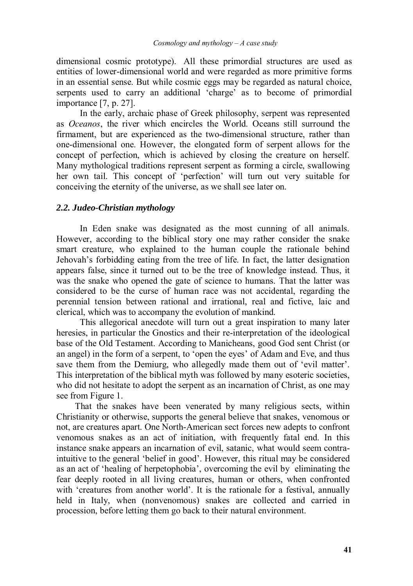dimensional cosmic prototype). All these primordial structures are used as entities of lower-dimensional world and were regarded as more primitive forms in an essential sense. But while cosmic eggs may be regarded as natural choice, serpents used to carry an additional 'charge' as to become of primordial importance [7, p. 27].

In the early, archaic phase of Greek philosophy, serpent was represented as *Oceanos*, the river which encircles the World. Oceans still surround the firmament, but are experienced as the two-dimensional structure, rather than one-dimensional one. However, the elongated form of serpent allows for the concept of perfection, which is achieved by closing the creature on herself. Many mythological traditions represent serpent as forming a circle, swallowing her own tail. This concept of 'perfection' will turn out very suitable for conceiving the eternity of the universe, as we shall see later on.

#### *2.2. Judeo-Christian mythology*

In Eden snake was designated as the most cunning of all animals. However, according to the biblical story one may rather consider the snake smart creature, who explained to the human couple the rationale behind Jehovah's forbidding eating from the tree of life. In fact, the latter designation appears false, since it turned out to be the tree of knowledge instead. Thus, it was the snake who opened the gate of science to humans. That the latter was considered to be the curse of human race was not accidental, regarding the perennial tension between rational and irrational, real and fictive, laic and clerical, which was to accompany the evolution of mankind.

This allegorical anecdote will turn out a great inspiration to many later heresies, in particular the Gnostics and their re-interpretation of the ideological base of the Old Testament. According to Manicheans, good God sent Christ (or an angel) in the form of a serpent, to 'open the eyes' of Adam and Eve, and thus save them from the Demiurg, who allegedly made them out of 'evil matter'. This interpretation of the biblical myth was followed by many esoteric societies, who did not hesitate to adopt the serpent as an incarnation of Christ, as one may see from Figure 1.

 That the snakes have been venerated by many religious sects, within Christianity or otherwise, supports the general believe that snakes, venomous or not, are creatures apart. One North-American sect forces new adepts to confront venomous snakes as an act of initiation, with frequently fatal end. In this instance snake appears an incarnation of evil, satanic, what would seem contraintuitive to the general 'belief in good'. However, this ritual may be considered as an act of 'healing of herpetophobia', overcoming the evil by eliminating the fear deeply rooted in all living creatures, human or others, when confronted with 'creatures from another world'. It is the rationale for a festival, annually held in Italy, when (nonvenomous) snakes are collected and carried in procession, before letting them go back to their natural environment.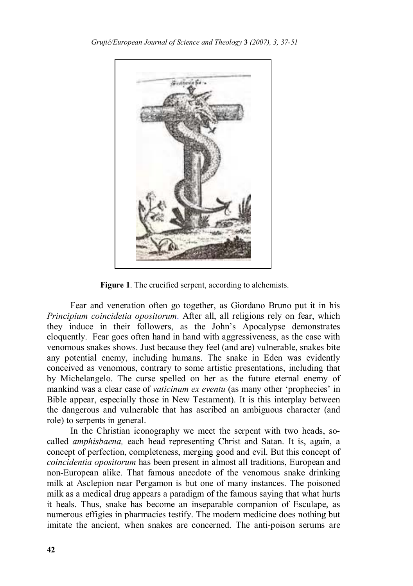

**Figure 1**. The crucified serpent, according to alchemists.

Fear and veneration often go together, as Giordano Bruno put it in his *Principium coincidetia opositorum*. After all, all religions rely on fear, which they induce in their followers, as the John's Apocalypse demonstrates eloquently. Fear goes often hand in hand with aggressiveness, as the case with venomous snakes shows. Just because they feel (and are) vulnerable, snakes bite any potential enemy, including humans. The snake in Eden was evidently conceived as venomous, contrary to some artistic presentations, including that by Michelangelo. The curse spelled on her as the future eternal enemy of mankind was a clear case of *vaticinum ex eventu* (as many other 'prophecies' in Bible appear, especially those in New Testament). It is this interplay between the dangerous and vulnerable that has ascribed an ambiguous character (and role) to serpents in general.

In the Christian iconography we meet the serpent with two heads, socalled *amphisbaena,* each head representing Christ and Satan. It is, again, a concept of perfection, completeness, merging good and evil. But this concept of *coincidentia opositorum* has been present in almost all traditions, European and non-European alike. That famous anecdote of the venomous snake drinking milk at Asclepion near Pergamon is but one of many instances. The poisoned milk as a medical drug appears a paradigm of the famous saying that what hurts it heals. Thus, snake has become an inseparable companion of Esculape, as numerous effigies in pharmacies testify. The modern medicine does nothing but imitate the ancient, when snakes are concerned. The anti-poison serums are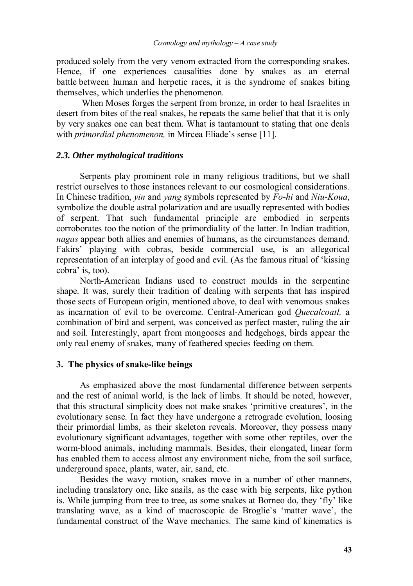produced solely from the very venom extracted from the corresponding snakes. Hence, if one experiences causalities done by snakes as an eternal battle between human and herpetic races, it is the syndrome of snakes biting themselves, which underlies the phenomenon.

 When Moses forges the serpent from bronze, in order to heal Israelites in desert from bites of the real snakes, he repeats the same belief that that it is only by very snakes one can beat them. What is tantamount to stating that one deals with *primordial phenomenon,* in Mircea Eliade's sense [11].

#### *2.3. Other mythological traditions*

Serpents play prominent role in many religious traditions, but we shall restrict ourselves to those instances relevant to our cosmological considerations. In Chinese tradition, *yin* and *yang* symbols represented by *Fo-hi* and *Niu-Koua*, symbolize the double astral polarization and are usually represented with bodies of serpent. That such fundamental principle are embodied in serpents corroborates too the notion of the primordiality of the latter. In Indian tradition, *nagas* appear both allies and enemies of humans, as the circumstances demand. Fakirs' playing with cobras, beside commercial use, is an allegorical representation of an interplay of good and evil. (As the famous ritual of 'kissing cobra' is, too).

North-American Indians used to construct moulds in the serpentine shape. It was, surely their tradition of dealing with serpents that has inspired those sects of European origin, mentioned above, to deal with venomous snakes as incarnation of evil to be overcome. Central-American god *Quecalcoatl,* a combination of bird and serpent, was conceived as perfect master, ruling the air and soil. Interestingly, apart from mongooses and hedgehogs, birds appear the only real enemy of snakes, many of feathered species feeding on them.

#### **3. The physics of snake-like beings**

As emphasized above the most fundamental difference between serpents and the rest of animal world, is the lack of limbs. It should be noted, however, that this structural simplicity does not make snakes 'primitive creatures', in the evolutionary sense. In fact they have undergone a retrograde evolution, loosing their primordial limbs, as their skeleton reveals. Moreover, they possess many evolutionary significant advantages, together with some other reptiles, over the worm-blood animals, including mammals. Besides, their elongated, linear form has enabled them to access almost any environment niche, from the soil surface, underground space, plants, water, air, sand, etc.

Besides the wavy motion, snakes move in a number of other manners, including translatory one, like snails, as the case with big serpents, like python is. While jumping from tree to tree, as some snakes at Borneo do, they 'fly' like translating wave, as a kind of macroscopic de Broglie`s 'matter wave', the fundamental construct of the Wave mechanics. The same kind of kinematics is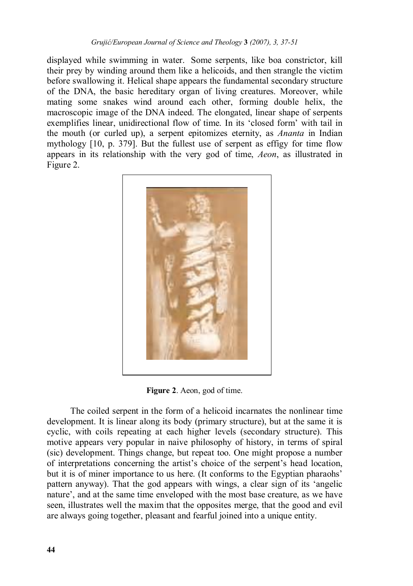displayed while swimming in water. Some serpents, like boa constrictor, kill their prey by winding around them like a helicoids, and then strangle the victim before swallowing it. Helical shape appears the fundamental secondary structure of the DNA, the basic hereditary organ of living creatures. Moreover, while mating some snakes wind around each other, forming double helix, the macroscopic image of the DNA indeed. The elongated, linear shape of serpents exemplifies linear, unidirectional flow of time. In its 'closed form' with tail in the mouth (or curled up), a serpent epitomizes eternity, as *Ananta* in Indian mythology [10, p. 379]. But the fullest use of serpent as effigy for time flow appears in its relationship with the very god of time, *Aeon*, as illustrated in Figure 2.



**Figure 2**. Aeon, god of time.

The coiled serpent in the form of a helicoid incarnates the nonlinear time development. It is linear along its body (primary structure), but at the same it is cyclic, with coils repeating at each higher levels (secondary structure). This motive appears very popular in naive philosophy of history, in terms of spiral (sic) development. Things change, but repeat too. One might propose a number of interpretations concerning the artist's choice of the serpent's head location, but it is of miner importance to us here. (It conforms to the Egyptian pharaohs' pattern anyway). That the god appears with wings, a clear sign of its 'angelic nature', and at the same time enveloped with the most base creature, as we have seen, illustrates well the maxim that the opposites merge, that the good and evil are always going together, pleasant and fearful joined into a unique entity.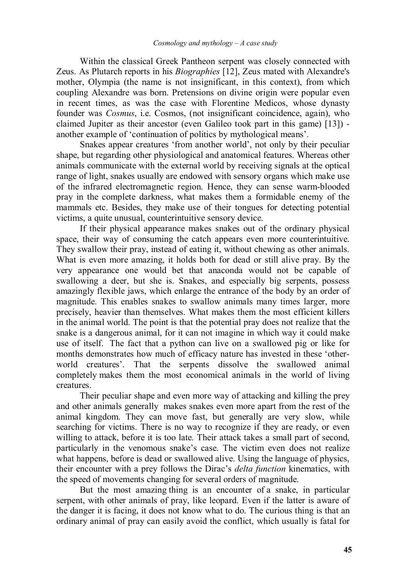Within the classical Greek Pantheon serpent was closely connected with Zeus. As Plutarch reports in his *Biographies* [12], Zeus mated with Alexandre's mother, Olympia (the name is not insignificant, in this context), from which coupling Alexandre was born. Pretensions on divine origin were popular even in recent times, as was the case with Florentine Medicos, whose dynasty founder was *Cosmus*, i.e. Cosmos, (not insignificant coincidence, again), who claimed Jupiter as their ancestor (even Galileo took part in this game) [13]) another example of 'continuation of politics by mythological means'.

 Snakes appear creatures 'from another world', not only by their peculiar shape, but regarding other physiological and anatomical features. Whereas other animals communicate with the external world by receiving signals at the optical range of light, snakes usually are endowed with sensory organs which make use of the infrared electromagnetic region. Hence, they can sense warm-blooded pray in the complete darkness, what makes them a formidable enemy of the mammals etc. Besides, they make use of their tongues for detecting potential victims, a quite unusual, counterintuitive sensory device.

 If their physical appearance makes snakes out of the ordinary physical space, their way of consuming the catch appears even more counterintuitive. They swallow their pray, instead of eating it, without chewing as other animals. What is even more amazing, it holds both for dead or still alive pray. By the very appearance one would bet that anaconda would not be capable of swallowing a deer, but she is. Snakes, and especially big serpents, possess amazingly flexible jaws, which enlarge the entrance of the body by an order of magnitude. This enables snakes to swallow animals many times larger, more precisely, heavier than themselves. What makes them the most efficient killers in the animal world. The point is that the potential pray does not realize that the snake is a dangerous animal, for it can not imagine in which way it could make use of itself. The fact that a python can live on a swallowed pig or like for months demonstrates how much of efficacy nature has invested in these 'otherworld creatures'. That the serpents dissolve the swallowed animal completely makes them the most economical animals in the world of living creatures.

 Their peculiar shape and even more way of attacking and killing the prey and other animals generally makes snakes even more apart from the rest of the animal kingdom. They can move fast, but generally are very slow, while searching for victims. There is no way to recognize if they are ready, or even willing to attack, before it is too late. Their attack takes a small part of second, particularly in the venomous snake's case. The victim even does not realize what happens, before is dead or swallowed alive. Using the language of physics, their encounter with a prey follows the Dirac's *delta function* kinematics, with the speed of movements changing for several orders of magnitude.

But the most amazing thing is an encounter of a snake, in particular serpent, with other animals of pray, like leopard. Even if the latter is aware of the danger it is facing, it does not know what to do. The curious thing is that an ordinary animal of pray can easily avoid the conflict, which usually is fatal for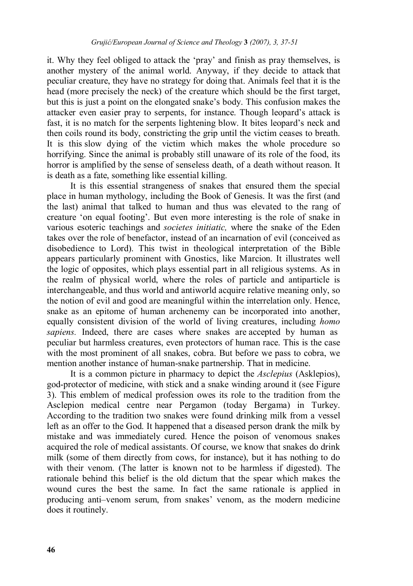it. Why they feel obliged to attack the 'pray' and finish as pray themselves, is another mystery of the animal world. Anyway, if they decide to attack that peculiar creature, they have no strategy for doing that. Animals feel that it is the head (more precisely the neck) of the creature which should be the first target, but this is just a point on the elongated snake's body. This confusion makes the attacker even easier pray to serpents, for instance. Though leopard's attack is fast, it is no match for the serpents lightening blow. It bites leopard's neck and then coils round its body, constricting the grip until the victim ceases to breath. It is this slow dying of the victim which makes the whole procedure so horrifying. Since the animal is probably still unaware of its role of the food, its horror is amplified by the sense of senseless death, of a death without reason. It is death as a fate, something like essential killing.

It is this essential strangeness of snakes that ensured them the special place in human mythology, including the Book of Genesis. It was the first (and the last) animal that talked to human and thus was elevated to the rang of creature 'on equal footing'. But even more interesting is the role of snake in various esoteric teachings and *societes initiatic,* where the snake of the Eden takes over the role of benefactor, instead of an incarnation of evil (conceived as disobedience to Lord). This twist in theological interpretation of the Bible appears particularly prominent with Gnostics, like Marcion. It illustrates well the logic of opposites, which plays essential part in all religious systems. As in the realm of physical world, where the roles of particle and antiparticle is interchangeable, and thus world and antiworld acquire relative meaning only, so the notion of evil and good are meaningful within the interrelation only. Hence, snake as an epitome of human archenemy can be incorporated into another, equally consistent division of the world of living creatures, including *homo sapiens.* Indeed, there are cases where snakes are accepted by human as peculiar but harmless creatures, even protectors of human race. This is the case with the most prominent of all snakes, cobra. But before we pass to cobra, we mention another instance of human-snake partnership. That in medicine.

 It is a common picture in pharmacy to depict the *Asclepius* (Asklepios), god-protector of medicine, with stick and a snake winding around it (see Figure 3). This emblem of medical profession owes its role to the tradition from the Asclepion medical centre near Pergamon (today Bergama) in Turkey. According to the tradition two snakes were found drinking milk from a vessel left as an offer to the God. It happened that a diseased person drank the milk by mistake and was immediately cured. Hence the poison of venomous snakes acquired the role of medical assistants. Of course, we know that snakes do drink milk (some of them directly from cows, for instance), but it has nothing to do with their venom. (The latter is known not to be harmless if digested). The rationale behind this belief is the old dictum that the spear which makes the wound cures the best the same. In fact the same rationale is applied in producing anti–venom serum, from snakes' venom, as the modern medicine does it routinely.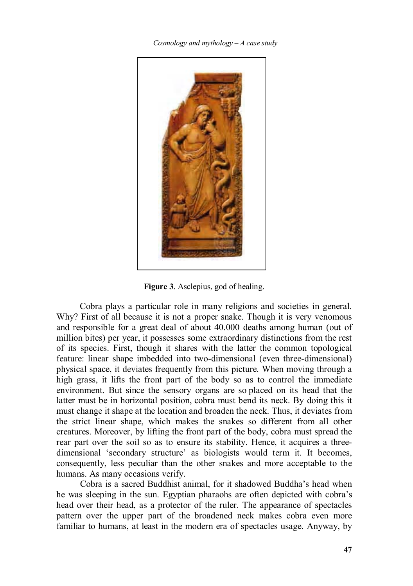*Cosmology and mythology – A case study* 



**Figure 3**. Asclepius, god of healing.

Cobra plays a particular role in many religions and societies in general. Why? First of all because it is not a proper snake. Though it is very venomous and responsible for a great deal of about 40.000 deaths among human (out of million bites) per year, it possesses some extraordinary distinctions from the rest of its species. First, though it shares with the latter the common topological feature: linear shape imbedded into two-dimensional (even three-dimensional) physical space, it deviates frequently from this picture. When moving through a high grass, it lifts the front part of the body so as to control the immediate environment. But since the sensory organs are so placed on its head that the latter must be in horizontal position, cobra must bend its neck. By doing this it must change it shape at the location and broaden the neck. Thus, it deviates from the strict linear shape, which makes the snakes so different from all other creatures. Moreover, by lifting the front part of the body, cobra must spread the rear part over the soil so as to ensure its stability. Hence, it acquires a threedimensional 'secondary structure' as biologists would term it. It becomes, consequently, less peculiar than the other snakes and more acceptable to the humans. As many occasions verify.

 Cobra is a sacred Buddhist animal, for it shadowed Buddha's head when he was sleeping in the sun. Egyptian pharaohs are often depicted with cobra's head over their head, as a protector of the ruler. The appearance of spectacles pattern over the upper part of the broadened neck makes cobra even more familiar to humans, at least in the modern era of spectacles usage. Anyway, by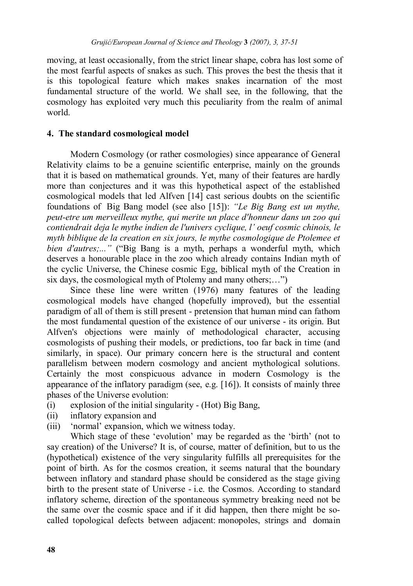moving, at least occasionally, from the strict linear shape, cobra has lost some of the most fearful aspects of snakes as such. This proves the best the thesis that it is this topological feature which makes snakes incarnation of the most fundamental structure of the world. We shall see, in the following, that the cosmology has exploited very much this peculiarity from the realm of animal world.

# **4. The standard cosmological model**

Modern Cosmology (or rather cosmologies) since appearance of General Relativity claims to be a genuine scientific enterprise, mainly on the grounds that it is based on mathematical grounds. Yet, many of their features are hardly more than conjectures and it was this hypothetical aspect of the established cosmological models that led Alfven [14] cast serious doubts on the scientific foundations of Big Bang model (see also [15]): *"Le Big Bang est un mythe, peut-etre um merveilleux mythe, qui merite un place d'honneur dans un zoo qui contiendrait deja le mythe indien de l'univers cyclique, l' oeuf cosmic chinois, le myth biblique de la creation en six jours, le mythe cosmologique de Ptolemee et bien d'autres;..."* ("Big Bang is a myth, perhaps a wonderful myth, which deserves a honourable place in the zoo which already contains Indian myth of the cyclic Universe, the Chinese cosmic Egg, biblical myth of the Creation in six days, the cosmological myth of Ptolemy and many others;...")

Since these line were written (1976) many features of the leading cosmological models have changed (hopefully improved), but the essential paradigm of all of them is still present - pretension that human mind can fathom the most fundamental question of the existence of our universe - its origin. But Alfven's objections were mainly of methodological character, accusing cosmologists of pushing their models, or predictions, too far back in time (and similarly, in space). Our primary concern here is the structural and content parallelism between modern cosmology and ancient mythological solutions. Certainly the most conspicuous advance in modern Cosmology is the appearance of the inflatory paradigm (see, e.g. [16]). It consists of mainly three phases of the Universe evolution:

- (i) explosion of the initial singularity (Hot) Big Bang,
- (ii) inflatory expansion and
- (iii) 'normal' expansion, which we witness today.

 Which stage of these 'evolution' may be regarded as the 'birth' (not to say creation) of the Universe? It is, of course, matter of definition, but to us the (hypothetical) existence of the very singularity fulfills all prerequisites for the point of birth. As for the cosmos creation, it seems natural that the boundary between inflatory and standard phase should be considered as the stage giving birth to the present state of Universe - i.e. the Cosmos. According to standard inflatory scheme, direction of the spontaneous symmetry breaking need not be the same over the cosmic space and if it did happen, then there might be socalled topological defects between adjacent: monopoles, strings and domain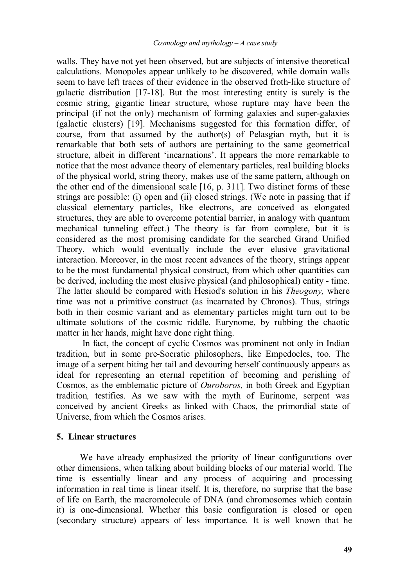walls. They have not yet been observed, but are subjects of intensive theoretical calculations. Monopoles appear unlikely to be discovered, while domain walls seem to have left traces of their evidence in the observed froth-like structure of galactic distribution [17-18]. But the most interesting entity is surely is the cosmic string, gigantic linear structure, whose rupture may have been the principal (if not the only) mechanism of forming galaxies and super-galaxies (galactic clusters) [19]. Mechanisms suggested for this formation differ, of course, from that assumed by the author(s) of Pelasgian myth, but it is remarkable that both sets of authors are pertaining to the same geometrical structure, albeit in different 'incarnations'. It appears the more remarkable to notice that the most advance theory of elementary particles, real building blocks of the physical world, string theory, makes use of the same pattern, although on the other end of the dimensional scale [16, p. 311]. Two distinct forms of these strings are possible: (i) open and (ii) closed strings. (We note in passing that if classical elementary particles, like electrons, are conceived as elongated structures, they are able to overcome potential barrier, in analogy with quantum mechanical tunneling effect.) The theory is far from complete, but it is considered as the most promising candidate for the searched Grand Unified Theory, which would eventually include the ever elusive gravitational interaction. Moreover, in the most recent advances of the theory, strings appear to be the most fundamental physical construct, from which other quantities can be derived, including the most elusive physical (and philosophical) entity - time. The latter should be compared with Hesiod's solution in his *Theogony,* where time was not a primitive construct (as incarnated by Chronos). Thus, strings both in their cosmic variant and as elementary particles might turn out to be ultimate solutions of the cosmic riddle. Eurynome, by rubbing the chaotic matter in her hands, might have done right thing.

 In fact, the concept of cyclic Cosmos was prominent not only in Indian tradition, but in some pre-Socratic philosophers, like Empedocles, too. The image of a serpent biting her tail and devouring herself continuously appears as ideal for representing an eternal repetition of becoming and perishing of Cosmos, as the emblematic picture of *Ouroboros,* in both Greek and Egyptian tradition*,* testifies. As we saw with the myth of Eurinome, serpent was conceived by ancient Greeks as linked with Chaos, the primordial state of Universe, from which the Cosmos arises.

# **5. Linear structures**

We have already emphasized the priority of linear configurations over other dimensions, when talking about building blocks of our material world. The time is essentially linear and any process of acquiring and processing information in real time is linear itself. It is, therefore, no surprise that the base of life on Earth, the macromolecule of DNA (and chromosomes which contain it) is one-dimensional. Whether this basic configuration is closed or open (secondary structure) appears of less importance. It is well known that he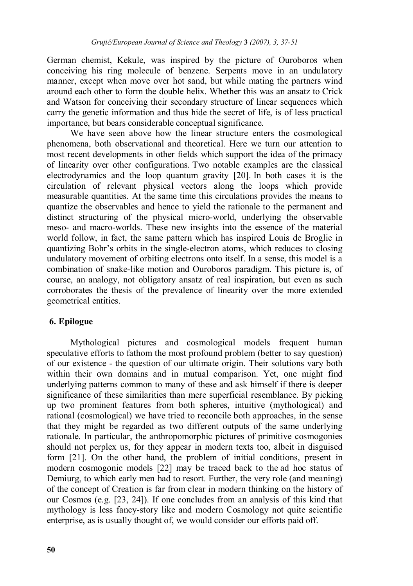German chemist, Kekule, was inspired by the picture of Ouroboros when conceiving his ring molecule of benzene. Serpents move in an undulatory manner, except when move over hot sand, but while mating the partners wind around each other to form the double helix. Whether this was an ansatz to Crick and Watson for conceiving their secondary structure of linear sequences which carry the genetic information and thus hide the secret of life, is of less practical importance, but bears considerable conceptual significance.

 We have seen above how the linear structure enters the cosmological phenomena, both observational and theoretical. Here we turn our attention to most recent developments in other fields which support the idea of the primacy of linearity over other configurations. Two notable examples are the classical electrodynamics and the loop quantum gravity [20]. In both cases it is the circulation of relevant physical vectors along the loops which provide measurable quantities. At the same time this circulations provides the means to quantize the observables and hence to yield the rationale to the permanent and distinct structuring of the physical micro-world, underlying the observable meso- and macro-worlds. These new insights into the essence of the material world follow, in fact, the same pattern which has inspired Louis de Broglie in quantizing Bohr's orbits in the single-electron atoms, which reduces to closing undulatory movement of orbiting electrons onto itself. In a sense, this model is a combination of snake-like motion and Ouroboros paradigm. This picture is, of course, an analogy, not obligatory ansatz of real inspiration, but even as such corroborates the thesis of the prevalence of linearity over the more extended geometrical entities.

# **6. Epilogue**

Mythological pictures and cosmological models frequent human speculative efforts to fathom the most profound problem (better to say question) of our existence - the question of our ultimate origin. Their solutions vary both within their own domains and in mutual comparison. Yet, one might find underlying patterns common to many of these and ask himself if there is deeper significance of these similarities than mere superficial resemblance. By picking up two prominent features from both spheres, intuitive (mythological) and rational (cosmological) we have tried to reconcile both approaches, in the sense that they might be regarded as two different outputs of the same underlying rationale. In particular, the anthropomorphic pictures of primitive cosmogonies should not perplex us, for they appear in modern texts too, albeit in disguised form [21]. On the other hand, the problem of initial conditions, present in modern cosmogonic models [22] may be traced back to the ad hoc status of Demiurg, to which early men had to resort. Further, the very role (and meaning) of the concept of Creation is far from clear in modern thinking on the history of our Cosmos (e.g. [23, 24]). If one concludes from an analysis of this kind that mythology is less fancy-story like and modern Cosmology not quite scientific enterprise, as is usually thought of, we would consider our efforts paid off.